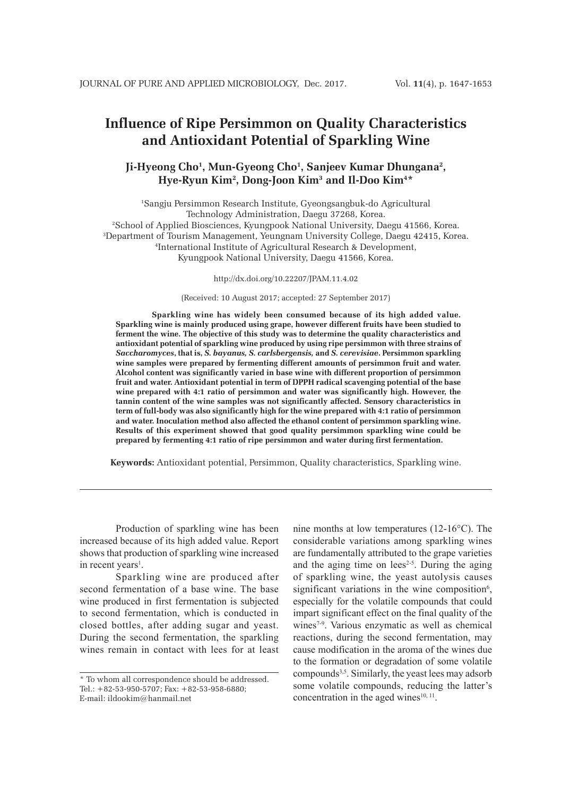# **Influence of Ripe Persimmon on Quality Characteristics and Antioxidant Potential of Sparkling Wine**

# Ji-Hyeong Cho<sup>1</sup>, Mun-Gyeong Cho<sup>1</sup>, Sanjeev Kumar Dhungana<sup>2</sup>, **Hye-Ryun Kim2 , Dong-Joon Kim3 and Il-Doo Kim4 \***

 Sangju Persimmon Research Institute, Gyeongsangbuk-do Agricultural Technology Administration, Daegu 37268, Korea. School of Applied Biosciences, Kyungpook National University, Daegu 41566, Korea. Department of Tourism Management, Yeungnam University College, Daegu 42415, Korea. International Institute of Agricultural Research & Development, Kyungpook National University, Daegu 41566, Korea.

http://dx.doi.org/10.22207/JPAM.11.4.02

(Received: 10 August 2017; accepted: 27 September 2017)

**Sparkling wine has widely been consumed because of its high added value. Sparkling wine is mainly produced using grape, however different fruits have been studied to ferment the wine. The objective of this study was to determine the quality characteristics and antioxidant potential of sparkling wine produced by using ripe persimmon with three strains of**  *Saccharomyces***, that is,** *S. bayanus, S. carlsbergensis,* **and** *S. cerevisiae***. Persimmon sparkling wine samples were prepared by fermenting different amounts of persimmon fruit and water. Alcohol content was significantly varied in base wine with different proportion of persimmon fruit and water. Antioxidant potential in term of DPPH radical scavenging potential of the base wine prepared with 4:1 ratio of persimmon and water was significantly high. However, the tannin content of the wine samples was not significantly affected. Sensory characteristics in term of full-body was also significantly high for the wine prepared with 4:1 ratio of persimmon and water. Inoculation method also affected the ethanol content of persimmon sparkling wine. Results of this experiment showed that good quality persimmon sparkling wine could be prepared by fermenting 4:1 ratio of ripe persimmon and water during first fermentation.**

**Keywords:** Antioxidant potential, Persimmon, Quality characteristics, Sparkling wine.

Production of sparkling wine has been increased because of its high added value. Report shows that production of sparkling wine increased in recent years<sup>1</sup>.

Sparkling wine are produced after second fermentation of a base wine. The base wine produced in first fermentation is subjected to second fermentation, which is conducted in closed bottles, after adding sugar and yeast. During the second fermentation, the sparkling wines remain in contact with lees for at least

nine months at low temperatures (12-16°C). The considerable variations among sparkling wines are fundamentally attributed to the grape varieties and the aging time on  $lees<sup>2-5</sup>$ . During the aging of sparkling wine, the yeast autolysis causes significant variations in the wine composition<sup>6</sup>, especially for the volatile compounds that could impart significant effect on the final quality of the wines<sup>7-9</sup>. Various enzymatic as well as chemical reactions, during the second fermentation, may cause modification in the aroma of the wines due to the formation or degradation of some volatile compounds3,5. Similarly, the yeast lees may adsorb some volatile compounds, reducing the latter's concentration in the aged wines $10, 11$ .

<sup>\*</sup> To whom all correspondence should be addressed. Tel.: +82-53-950-5707; Fax: +82-53-958-6880; E-mail: ildookim@hanmail.net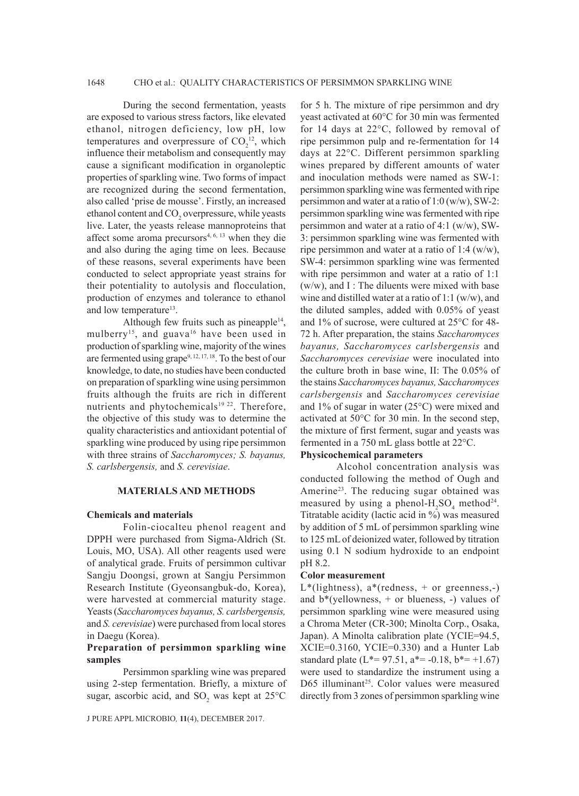## 1648 CHO et al.: QUALITY CHARACTERISTICS OF PERSIMMON SPARKLING WINE

During the second fermentation, yeasts are exposed to various stress factors, like elevated ethanol, nitrogen deficiency, low pH, low temperatures and overpressure of  $CO<sub>2</sub><sup>12</sup>$ , which influence their metabolism and consequently may cause a significant modification in organoleptic properties of sparkling wine. Two forms of impact are recognized during the second fermentation, also called 'prise de mousse'. Firstly, an increased ethanol content and CO<sub>2</sub> overpressure, while yeasts live. Later, the yeasts release mannoproteins that affect some aroma precursors<sup>4, 6, 13</sup> when they die and also during the aging time on lees. Because of these reasons, several experiments have been conducted to select appropriate yeast strains for their potentiality to autolysis and flocculation, production of enzymes and tolerance to ethanol and low temperature<sup>13</sup>.

Although few fruits such as pineapple<sup>14</sup>, mulberry<sup>15</sup>, and guava<sup>16</sup> have been used in production of sparkling wine, majority of the wines are fermented using grape<sup>9, 12, 17, 18</sup>. To the best of our knowledge, to date, no studies have been conducted on preparation of sparkling wine using persimmon fruits although the fruits are rich in different nutrients and phytochemicals $19$   $22$ . Therefore, the objective of this study was to determine the quality characteristics and antioxidant potential of sparkling wine produced by using ripe persimmon with three strains of *Saccharomyces; S. bayanus, S. carlsbergensis,* and *S. cerevisiae*.

## **MATERIALS AND METHODS**

## **Chemicals and materials**

Folin-ciocalteu phenol reagent and DPPH were purchased from Sigma-Aldrich (St. Louis, MO, USA). All other reagents used were of analytical grade. Fruits of persimmon cultivar Sangju Doongsi, grown at Sangju Persimmon Research Institute (Gyeonsangbuk-do, Korea), were harvested at commercial maturity stage. Yeasts (*Saccharomyces bayanus, S. carlsbergensis,* and *S. cerevisiae*) were purchased from local stores in Daegu (Korea).

# **Preparation of persimmon sparkling wine samples**

Persimmon sparkling wine was prepared using 2-step fermentation. Briefly, a mixture of sugar, ascorbic acid, and  $SO_2$  was kept at 25°C

J PURE APPL MICROBIO*,* **11**(4), DECEMBER 2017.

for 5 h. The mixture of ripe persimmon and dry yeast activated at 60°C for 30 min was fermented for 14 days at 22°C, followed by removal of ripe persimmon pulp and re-fermentation for 14 days at 22°C. Different persimmon sparkling wines prepared by different amounts of water and inoculation methods were named as SW-1: persimmon sparkling wine was fermented with ripe persimmon and water at a ratio of 1:0 (w/w), SW-2: persimmon sparkling wine was fermented with ripe persimmon and water at a ratio of 4:1 (w/w), SW-3: persimmon sparkling wine was fermented with ripe persimmon and water at a ratio of 1:4  $(w/w)$ , SW-4: persimmon sparkling wine was fermented with ripe persimmon and water at a ratio of 1:1  $(w/w)$ , and I : The diluents were mixed with base wine and distilled water at a ratio of 1:1 (w/w), and the diluted samples, added with 0.05% of yeast and 1% of sucrose, were cultured at 25°C for 48- 72 h. After preparation, the stains *Saccharomyces bayanus, Saccharomyces carlsbergensis* and *Saccharomyces cerevisiae* were inoculated into the culture broth in base wine, II: The 0.05% of the stains *Saccharomyces bayanus, Saccharomyces carlsbergensis* and *Saccharomyces cerevisiae* and 1% of sugar in water (25°C) were mixed and activated at 50°C for 30 min. In the second step, the mixture of first ferment, sugar and yeasts was fermented in a 750 mL glass bottle at 22°C.

#### **Physicochemical parameters**

Alcohol concentration analysis was conducted following the method of Ough and Amerine<sup>23</sup>. The reducing sugar obtained was measured by using a phenol- $H_2SO_4$  method<sup>24</sup>. Titratable acidity (lactic acid in %) was measured by addition of 5 mL of persimmon sparkling wine to 125 mL of deionized water, followed by titration using 0.1 N sodium hydroxide to an endpoint pH 8.2.

#### **Color measurement**

L\*(lightness), a\*(redness, + or greenness,-) and  $b^*$ (yellowness,  $+$  or blueness,  $-$ ) values of persimmon sparkling wine were measured using a Chroma Meter (CR-300; Minolta Corp., Osaka, Japan). A Minolta calibration plate (YCIE=94.5, XCIE=0.3160, YCIE=0.330) and a Hunter Lab standard plate  $(L*-97.51, a*-0.18, b*-+1.67)$ were used to standardize the instrument using a D65 illuminant<sup>25</sup>. Color values were measured directly from 3 zones of persimmon sparkling wine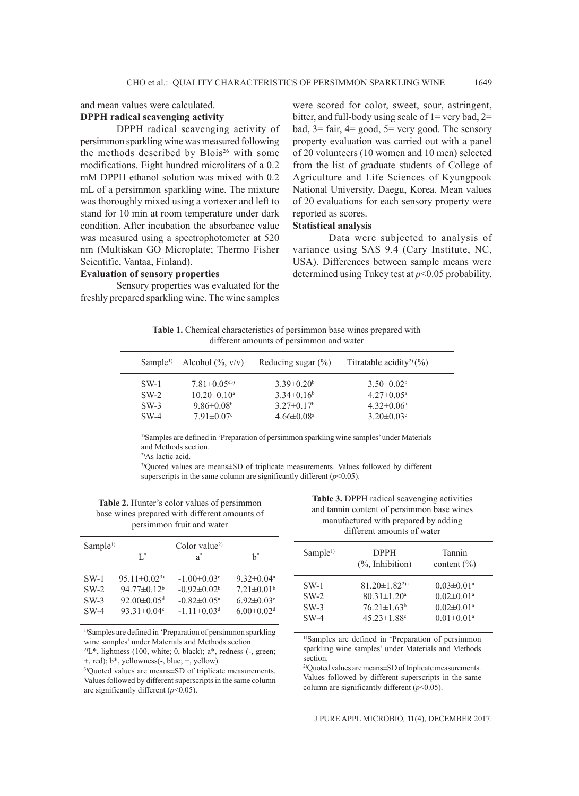# and mean values were calculated. **DPPH radical scavenging activity**

DPPH radical scavenging activity of persimmon sparkling wine was measured following the methods described by Blois<sup>26</sup> with some modifications. Eight hundred microliters of a 0.2 mM DPPH ethanol solution was mixed with 0.2 mL of a persimmon sparkling wine. The mixture was thoroughly mixed using a vortexer and left to stand for 10 min at room temperature under dark condition. After incubation the absorbance value was measured using a spectrophotometer at 520 nm (Multiskan GO Microplate; Thermo Fisher Scientific, Vantaa, Finland).

#### **Evaluation of sensory properties**

Sensory properties was evaluated for the freshly prepared sparkling wine. The wine samples were scored for color, sweet, sour, astringent, bitter, and full-body using scale of  $1=$  very bad,  $2=$ bad,  $3 = \text{fair}$ ,  $4 = \text{good}$ ,  $5 = \text{very good}$ . The sensory property evaluation was carried out with a panel of 20 volunteers (10 women and 10 men) selected from the list of graduate students of College of Agriculture and Life Sciences of Kyungpook National University, Daegu, Korea. Mean values of 20 evaluations for each sensory property were reported as scores.

# **Statistical analysis**

Data were subjected to analysis of variance using SAS 9.4 (Cary Institute, NC, USA). Differences between sample means were determined using Tukey test at *p*<0.05 probability.

**Table 1.** Chemical characteristics of persimmon base wines prepared with different amounts of persimmon and water

| Sample <sup>1</sup> | Alcohol $(\% , v/v)$ | Reducing sugar $(\% )$   | Titratable acidity <sup>2</sup> $(%)$ |  |
|---------------------|----------------------|--------------------------|---------------------------------------|--|
| $SW-1$              | $7.81 \pm 0.05^{c3}$ | $3.39\pm0.20b$           | $3.50\pm0.02b$                        |  |
| $SW-2$              | $10.20 \pm 0.10^a$   | $3.34\pm0.16^b$          | $4.27 \pm 0.05^{\text{a}}$            |  |
| $SW-3$              | $9.86\pm0.08b$       | $3.27 \pm 0.17^b$        | $4.32\pm0.06^{\circ}$                 |  |
| $SW-4$              | $7.91 \pm 0.07$ °    | $4.66\pm0.08^{\text{a}}$ | $3.20 \pm 0.03$ °                     |  |

1)Samples are defined in 'Preparation of persimmon sparkling wine samples' under Materials and Methods section.

2)As lactic acid.

3)Quoted values are means±SD of triplicate measurements. Values followed by different superscripts in the same column are significantly different  $(p<0.05)$ .

**Table 2.** Hunter's color values of persimmon base wines prepared with different amounts of persimmon fruit and water

| Sample <sup>1</sup>                  | L.                                                                                                                       | Color value <sup>2)</sup><br>$a^*$                                                                               | $h^*$                                                                                                  |
|--------------------------------------|--------------------------------------------------------------------------------------------------------------------------|------------------------------------------------------------------------------------------------------------------|--------------------------------------------------------------------------------------------------------|
|                                      |                                                                                                                          |                                                                                                                  |                                                                                                        |
| $SW-1$<br>$SW-2$<br>$SW-3$<br>$SW-4$ | 95.11 $\pm$ 0.02 <sup>3)a</sup><br>$94.77 \pm 0.12^b$<br>92.00 $\pm$ 0.05 <sup>d</sup><br>93.31 $\pm$ 0.04 $\textdegree$ | $-1.00 \pm 0.03$ <sup>c</sup><br>$-0.92\pm0.02b$<br>$-0.82\pm0.05^{\mathrm{a}}$<br>$-1.11 \pm 0.03$ <sup>d</sup> | $9.32 \pm 0.04$ <sup>a</sup><br>$7.21 \pm 0.01^b$<br>$6.92 \pm 0.03$ °<br>$6.00 \pm 0.02$ <sup>d</sup> |

1)Samples are defined in 'Preparation of persimmon sparkling wine samples' under Materials and Methods section.

 $2^2L^*$ , lightness (100, white; 0, black); a\*, redness (-, green; +, red); b\*, yellowness(-, blue; +, yellow).

3)Quoted values are means±SD of triplicate measurements. Values followed by different superscripts in the same column are significantly different (*p*<0.05).

**Table 3.** DPPH radical scavenging activities and tannin content of persimmon base wines manufactured with prepared by adding different amounts of water

| Sample <sup>1</sup> | <b>DPPH</b><br>$(\%$ , Inhibition) | Tannin<br>content $(\% )$    |
|---------------------|------------------------------------|------------------------------|
| $SW-1$              | $81.20 \pm 1.82^{2)a}$             | $0.03 \pm 0.01$ <sup>a</sup> |
| $SW-2$              | $80.31 \pm 1.20$ <sup>a</sup>      | $0.02 \pm 0.01$ <sup>a</sup> |
| $SW-3$              | $76.21 \pm 1.63^b$                 | $0.02 \pm 0.01$ <sup>a</sup> |
| $SW-4$              | $45.23 \pm 1.88$ <sup>c</sup>      | $0.01 \pm 0.01$ <sup>a</sup> |

1)Samples are defined in 'Preparation of persimmon sparkling wine samples' under Materials and Methods section.

2)Quoted values are means±SD of triplicate measurements. Values followed by different superscripts in the same column are significantly different (*p*<0.05).

J PURE APPL MICROBIO*,* **11**(4), DECEMBER 2017.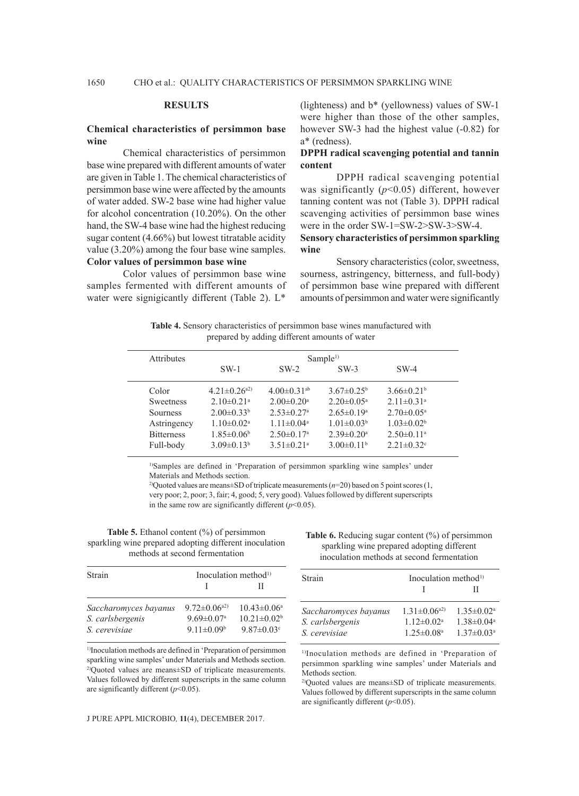#### **RESULTS**

#### **Chemical characteristics of persimmon base wine**

Chemical characteristics of persimmon base wine prepared with different amounts of water are given in Table 1. The chemical characteristics of persimmon base wine were affected by the amounts of water added. SW-2 base wine had higher value for alcohol concentration (10.20%). On the other hand, the SW-4 base wine had the highest reducing sugar content (4.66%) but lowest titratable acidity value (3.20%) among the four base wine samples. **Color values of persimmon base wine**

Color values of persimmon base wine samples fermented with different amounts of water were signigicantly different (Table 2). L\*

(lighteness) and b\* (yellowness) values of SW-1 were higher than those of the other samples, however SW-3 had the highest value (-0.82) for a\* (redness).

#### **DPPH radical scavenging potential and tannin content**

DPPH radical scavenging potential was significantly (*p*<0.05) different, however tanning content was not (Table 3). DPPH radical scavenging activities of persimmon base wines were in the order SW-1=SW-2>SW-3>SW-4.

## **Sensory characteristics of persimmon sparkling wine**

Sensory characteristics (color, sweetness, sourness, astringency, bitterness, and full-body) of persimmon base wine prepared with different amounts of persimmon and water were significantly

**Table 4.** Sensory characteristics of persimmon base wines manufactured with prepared by adding different amounts of water

| <b>Attributes</b> | Sample <sup>1</sup>          |                              |                              |                              |  |
|-------------------|------------------------------|------------------------------|------------------------------|------------------------------|--|
|                   | $SW-1$                       | $SW-2$                       | $SW-3$                       | $SW-4$                       |  |
| Color             | $4.21 \pm 0.26^{a2}$         | $4.00\pm0.31^{ab}$           | $3.67 \pm 0.25^b$            | $3.66 \pm 0.21^b$            |  |
| <b>Sweetness</b>  | $2.10\pm0.21$ <sup>a</sup>   | $2.00 \pm 0.20$ <sup>a</sup> | $2.20 \pm 0.05^{\text{a}}$   | $2.11 \pm 0.31$ <sup>a</sup> |  |
| Sourness          | $2.00 \pm 0.33^b$            | $2.53 \pm 0.27$ <sup>a</sup> | $2.65 \pm 0.19$ <sup>a</sup> | $2.70 \pm 0.05^{\text{a}}$   |  |
| Astringency       | $1.10 \pm 0.02$ <sup>a</sup> | $1.11 \pm 0.04^a$            | $1.01 \pm 0.03^b$            | $1.03 \pm 0.02^b$            |  |
| <b>Bitterness</b> | $1.85 \pm 0.06^b$            | $2.50 \pm 0.17$ <sup>a</sup> | $2.39 \pm 0.20$ <sup>a</sup> | $2.50 \pm 0.11$ <sup>a</sup> |  |
| Full-body         | $3.09 \pm 0.13^b$            | $3.51 \pm 0.21$ <sup>a</sup> | $3.00\pm0.11^{\rm b}$        | $2.21 \pm 0.32$ <sup>c</sup> |  |

<sup>1)</sup>Samples are defined in 'Preparation of persimmon sparkling wine samples' under Materials and Methods section.

2)Quoted values are means±SD of triplicate measurements (*n*=20) based on 5 point scores (1, very poor; 2, poor; 3, fair; 4, good; 5, very good). Values followed by different superscripts in the same row are significantly different  $(p<0.05)$ .

**Table 5.** Ethanol content (%) of persimmon sparkling wine prepared adopting different inoculation methods at second fermentation

| Strain                | Inoculation method <sup>1)</sup> |                              |  |
|-----------------------|----------------------------------|------------------------------|--|
|                       |                                  | н                            |  |
| Saccharomyces bayanus | $9.72 \pm 0.06^{a2}$             | $10.43 \pm 0.06^a$           |  |
| S. carlsbergenis      | $9.69 \pm 0.07$ <sup>a</sup>     | $10.21 \pm 0.02^b$           |  |
| S. cerevisiae         | $9.11 \pm 0.09^b$                | $9.87 \pm 0.03$ <sup>c</sup> |  |

1)Inoculation methods are defined in 'Preparation of persimmon sparkling wine samples' under Materials and Methods section. 2)Quoted values are means±SD of triplicate measurements. Values followed by different superscripts in the same column are significantly different (*p*<0.05).

Table 6. Reducing sugar content (%) of persimmon sparkling wine prepared adopting different inoculation methods at second fermentation

| Strain                                                     | Inoculation method <sup>1)</sup>                                                     |                                                                                   |
|------------------------------------------------------------|--------------------------------------------------------------------------------------|-----------------------------------------------------------------------------------|
|                                                            |                                                                                      |                                                                                   |
| Saccharomyces bayanus<br>S. carlsbergenis<br>S. cerevisiae | $1.31 \pm 0.06^{a2}$<br>$1.12 \pm 0.02$ <sup>a</sup><br>$1.25 \pm 0.08$ <sup>a</sup> | $1.35 \pm 0.02^a$<br>$1.38 \pm 0.04$ <sup>a</sup><br>$1.37 \pm 0.03$ <sup>a</sup> |

1)Inoculation methods are defined in 'Preparation of persimmon sparkling wine samples' under Materials and Methods section.

2)Quoted values are means±SD of triplicate measurements. Values followed by different superscripts in the same column are significantly different (*p*<0.05).

J PURE APPL MICROBIO*,* **11**(4), DECEMBER 2017.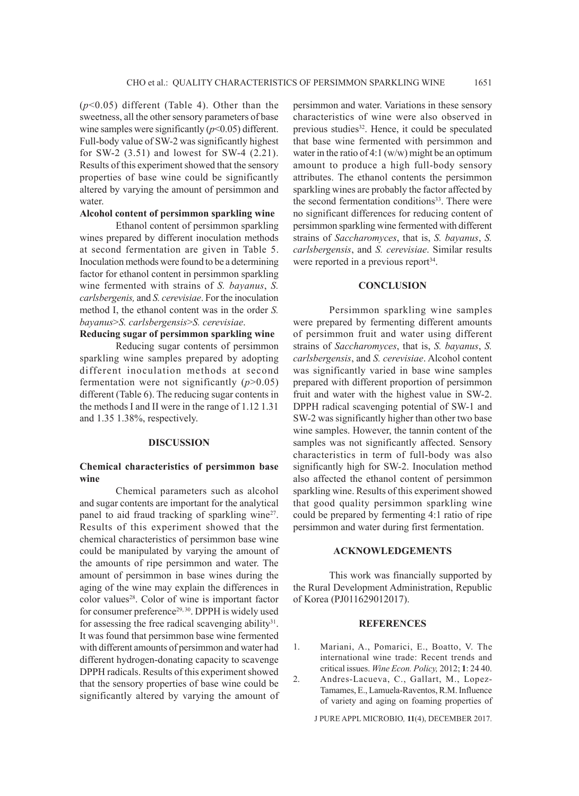(*p*<0.05) different (Table 4). Other than the sweetness, all the other sensory parameters of base wine samples were significantly  $(p<0.05)$  different. Full-body value of SW-2 was significantly highest for SW-2 (3.51) and lowest for SW-4 (2.21). Results of this experiment showed that the sensory properties of base wine could be significantly altered by varying the amount of persimmon and water.

### **Alcohol content of persimmon sparkling wine**

Ethanol content of persimmon sparkling wines prepared by different inoculation methods at second fermentation are given in Table 5. Inoculation methods were found to be a determining factor for ethanol content in persimmon sparkling wine fermented with strains of *S. bayanus*, *S. carlsbergenis,* and *S. cerevisiae*. For the inoculation method I, the ethanol content was in the order *S. bayanus*>*S. carlsbergensis*>*S. cerevisiae*.

# **Reducing sugar of persimmon sparkling wine**

Reducing sugar contents of persimmon sparkling wine samples prepared by adopting different inoculation methods at second fermentation were not significantly (*p*>0.05) different (Table 6). The reducing sugar contents in the methods I and II were in the range of 1.12 1.31 and 1.35 1.38%, respectively.

# **DISCUSSION**

#### **Chemical characteristics of persimmon base wine**

Chemical parameters such as alcohol and sugar contents are important for the analytical panel to aid fraud tracking of sparkling wine<sup>27</sup>. Results of this experiment showed that the chemical characteristics of persimmon base wine could be manipulated by varying the amount of the amounts of ripe persimmon and water. The amount of persimmon in base wines during the aging of the wine may explain the differences in color values<sup>28</sup>. Color of wine is important factor for consumer preference<sup>29, 30</sup>. DPPH is widely used for assessing the free radical scavenging ability<sup>31</sup>. It was found that persimmon base wine fermented with different amounts of persimmon and water had different hydrogen-donating capacity to scavenge DPPH radicals. Results of this experiment showed that the sensory properties of base wine could be significantly altered by varying the amount of persimmon and water. Variations in these sensory characteristics of wine were also observed in previous studies<sup>32</sup>. Hence, it could be speculated that base wine fermented with persimmon and water in the ratio of 4:1  $(w/w)$  might be an optimum amount to produce a high full-body sensory attributes. The ethanol contents the persimmon sparkling wines are probably the factor affected by the second fermentation conditions<sup>33</sup>. There were no significant differences for reducing content of persimmon sparkling wine fermented with different strains of *Saccharomyces*, that is, *S. bayanus*, *S. carlsbergensis*, and *S. cerevisiae*. Similar results were reported in a previous report<sup>34</sup>.

#### **CONCLUSION**

Persimmon sparkling wine samples were prepared by fermenting different amounts of persimmon fruit and water using different strains of *Saccharomyces*, that is, *S. bayanus*, *S. carlsbergensis*, and *S. cerevisiae*. Alcohol content was significantly varied in base wine samples prepared with different proportion of persimmon fruit and water with the highest value in SW-2. DPPH radical scavenging potential of SW-1 and SW-2 was significantly higher than other two base wine samples. However, the tannin content of the samples was not significantly affected. Sensory characteristics in term of full-body was also significantly high for SW-2. Inoculation method also affected the ethanol content of persimmon sparkling wine. Results of this experiment showed that good quality persimmon sparkling wine could be prepared by fermenting 4:1 ratio of ripe persimmon and water during first fermentation.

#### **ACKNOWLEDGEMENTS**

This work was financially supported by the Rural Development Administration, Republic of Korea (PJ011629012017).

#### **REFERENCES**

1. Mariani, A., Pomarici, E., Boatto, V. The international wine trade: Recent trends and critical issues. *Wine Econ. Policy,* 2012; **1**: 24 40. 2. Andres-Lacueva, C., Gallart, M., Lopez-

Tamames, E., Lamuela-Raventos, R.M. Influence of variety and aging on foaming properties of

J PURE APPL MICROBIO*,* **11**(4), DECEMBER 2017.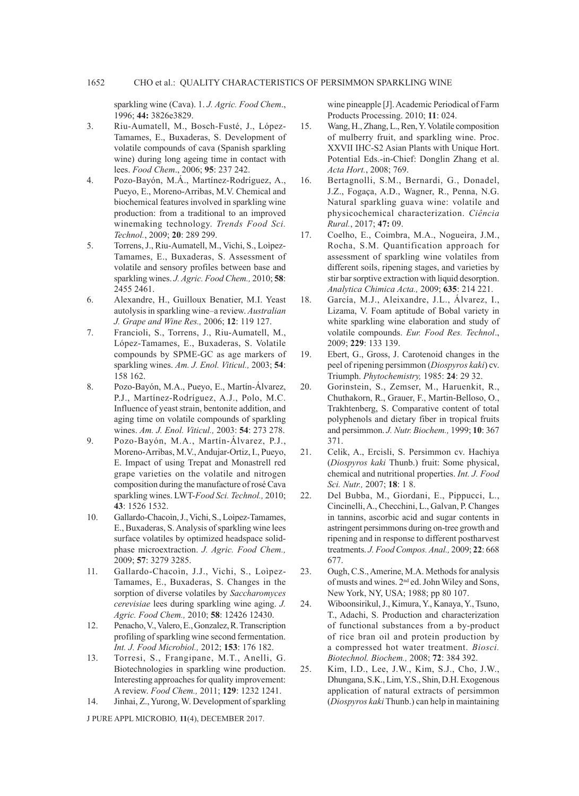sparkling wine (Cava). 1. *J. Agric. Food Chem*., 1996; **44:** 3826e3829.

- 3. Riu-Aumatell, M., Bosch-Fusté, J., López-Tamames, E., Buxaderas, S. Development of volatile compounds of cava (Spanish sparkling wine) during long ageing time in contact with lees. *Food Chem*., 2006; **95**: 237 242.
- 4. Pozo-Bayón, M.Á., Martínez-Rodríguez, A., Pueyo, E., Moreno-Arribas, M.V. Chemical and biochemical features involved in sparkling wine production: from a traditional to an improved winemaking technology. *Trends Food Sci. Technol.*, 2009; **20**: 289 299.
- 5. Torrens, J., Riu-Aumatell, M., Vichi, S., Loìpez-Tamames, E., Buxaderas, S. Assessment of volatile and sensory profiles between base and sparkling wines. *J. Agric. Food Chem.,* 2010; **58**: 2455 2461.
- 6. Alexandre, H., Guilloux Benatier, M.I. Yeast autolysis in sparkling wine–a review. *Australian J. Grape and Wine Res.,* 2006; **12**: 119 127.
- 7. Francioli, S., Torrens, J., Riu-Aumatell, M., López-Tamames, E., Buxaderas, S. Volatile compounds by SPME-GC as age markers of sparkling wines. *Am. J. Enol. Viticul.,* 2003; **54**: 158 162.
- 8. Pozo-Bayón, M.A., Pueyo, E., Martín-Álvarez, P.J., Martínez-Rodríguez, A.J., Polo, M.C. Influence of yeast strain, bentonite addition, and aging time on volatile compounds of sparkling wines. *Am. J. Enol. Viticul.,* 2003: **54**: 273 278.
- 9. Pozo-Bayón, M.A., Martín-Álvarez, P.J., Moreno-Arribas, M.V., Andujar-Ortiz, I., Pueyo, E. Impact of using Trepat and Monastrell red grape varieties on the volatile and nitrogen composition during the manufacture of rosé Cava sparkling wines. LWT-*Food Sci. Technol.,* 2010; **43**: 1526 1532.
- 10. Gallardo-Chacoìn, J., Vichi, S., Loìpez-Tamames, E., Buxaderas, S. Analysis of sparkling wine lees surface volatiles by optimized headspace solidphase microextraction. *J. Agric. Food Chem.,* 2009; **57**: 3279 3285.
- 11. Gallardo-Chacoìn, J.J., Vichi, S., Loìpez-Tamames, E., Buxaderas, S. Changes in the sorption of diverse volatiles by *Saccharomyces cerevisiae* lees during sparkling wine aging. *J. Agric. Food Chem.,* 2010; **58**: 12426 12430.
- 12. Penacho, V., Valero, E., Gonzalez, R. Transcription profiling of sparkling wine second fermentation. *Int. J. Food Microbiol.,* 2012; **153**: 176 182.
- 13. Torresi, S., Frangipane, M.T., Anelli, G. Biotechnologies in sparkling wine production. Interesting approaches for quality improvement: A review. *Food Chem.,* 2011; **129**: 1232 1241.
- 14. Jinhai, Z., Yurong, W. Development of sparkling

J PURE APPL MICROBIO*,* **11**(4), DECEMBER 2017.

wine pineapple [J]. Academic Periodical of Farm Products Processing. 2010; **11**: 024.

- 15. Wang, H., Zhang, L., Ren, Y. Volatile composition of mulberry fruit, and sparkling wine. Proc. XXVII IHC-S2 Asian Plants with Unique Hort. Potential Eds.-in-Chief: Donglin Zhang et al. *Acta Hort.*, 2008; 769.
- 16. Bertagnolli, S.M., Bernardi, G., Donadel, J.Z., Fogaça, A.D., Wagner, R., Penna, N.G. Natural sparkling guava wine: volatile and physicochemical characterization. *Ciência Rural.*, 2017; **47:** 09.
- 17. Coelho, E., Coimbra, M.A., Nogueira, J.M., Rocha, S.M. Quantification approach for assessment of sparkling wine volatiles from different soils, ripening stages, and varieties by stir bar sorptive extraction with liquid desorption. *Analytica Chimica Acta.,* 2009; **635**: 214 221.
- 18. García, M.J., Aleixandre, J.L., Álvarez, I., Lizama, V. Foam aptitude of Bobal variety in white sparkling wine elaboration and study of volatile compounds. *Eur. Food Res. Technol*., 2009; **229**: 133 139.
- 19. Ebert, G., Gross, J. Carotenoid changes in the peel of ripening persimmon (*Diospyros kaki*) cv. Triumph. *Phytochemistry,* 1985: **24**: 29 32.
- 20. Gorinstein, S., Zemser, M., Haruenkit, R., Chuthakorn, R., Grauer, F., Martin-Belloso, O., Trakhtenberg, S. Comparative content of total polyphenols and dietary fiber in tropical fruits and persimmon. *J. Nutr. Biochem.,* 1999; **10**: 367 371.
- 21. Celik, A., Ercisli, S. Persimmon cv. Hachiya (*Diospyros kaki* Thunb.) fruit: Some physical, chemical and nutritional properties. *Int. J. Food Sci. Nutr.,* 2007; **18**: 1 8.
- 22. Del Bubba, M., Giordani, E., Pippucci, L., Cincinelli, A., Checchini, L., Galvan, P. Changes in tannins, ascorbic acid and sugar contents in astringent persimmons during on-tree growth and ripening and in response to different postharvest treatments. *J. Food Compos. Anal.,* 2009; **22**: 668 677.
- 23. Ough, C.S., Amerine, M.A. Methods for analysis of musts and wines. 2nd ed. John Wiley and Sons, New York, NY, USA; 1988; pp 80 107.
- 24. Wiboonsirikul, J., Kimura, Y., Kanaya, Y., Tsuno, T., Adachi, S. Production and characterization of functional substances from a by-product of rice bran oil and protein production by a compressed hot water treatment. *Biosci. Biotechnol. Biochem.,* 2008; **72**: 384 392.
- 25. Kim, I.D., Lee, J.W., Kim, S.J., Cho, J.W., Dhungana, S.K., Lim, Y.S., Shin, D.H. Exogenous application of natural extracts of persimmon (*Diospyros kaki* Thunb.) can help in maintaining